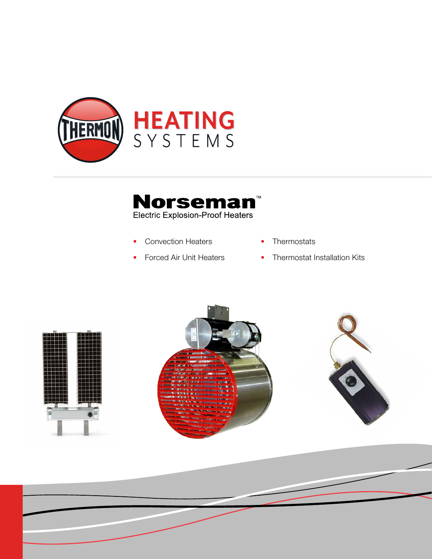



- 
- Convection Heaters
- Thermostats
- Forced Air Unit Heaters
- Thermostat Installation Kits





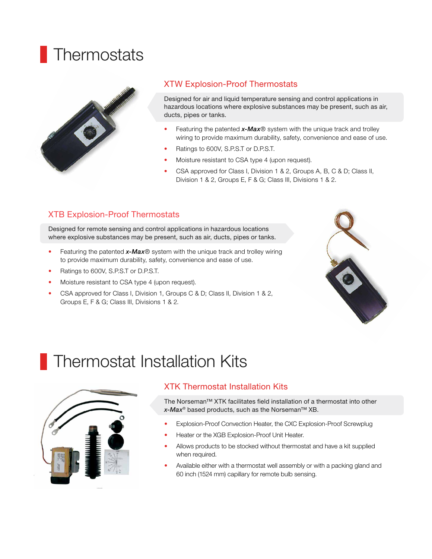# **Thermostats**



#### XTW Explosion-Proof Thermostats

Designed for air and liquid temperature sensing and control applications in hazardous locations where explosive substances may be present, such as air, ducts, pipes or tanks.

- Featuring the patented *x-Max*® system with the unique track and trolley wiring to provide maximum durability, safety, convenience and ease of use.
- Ratings to 600V, S.P.S.T or D.P.S.T.
- Moisture resistant to CSA type 4 (upon request).
- CSA approved for Class I, Division 1 & 2, Groups A, B, C & D; Class II, Division 1 & 2, Groups E, F & G; Class III, Divisions 1 & 2.

### XTB Explosion-Proof Thermostats

Designed for remote sensing and control applications in hazardous locations where explosive substances may be present, such as air, ducts, pipes or tanks.

- Featuring the patented  $x$ -*Max*<sup>®</sup> system with the unique track and trolley wiring to provide maximum durability, safety, convenience and ease of use.
- Ratings to 600V, S.P.S.T or D.P.S.T.
- Moisture resistant to CSA type 4 (upon request).
- CSA approved for Class I, Division 1, Groups C & D; Class II, Division 1 & 2, Groups E, F & G; Class III, Divisions 1 & 2.



## Thermostat Installation Kits



#### XTK Thermostat Installation Kits

The Norseman™ XTK facilitates field installation of a thermostat into other *x-Max*® based products, such as the Norseman™ XB.

- Explosion-Proof Convection Heater, the CXC Explosion-Proof Screwplug
- Heater or the XGB Explosion-Proof Unit Heater.
- Allows products to be stocked without thermostat and have a kit supplied when required.
- Available either with a thermostat well assembly or with a packing gland and 60 inch (1524 mm) capillary for remote bulb sensing.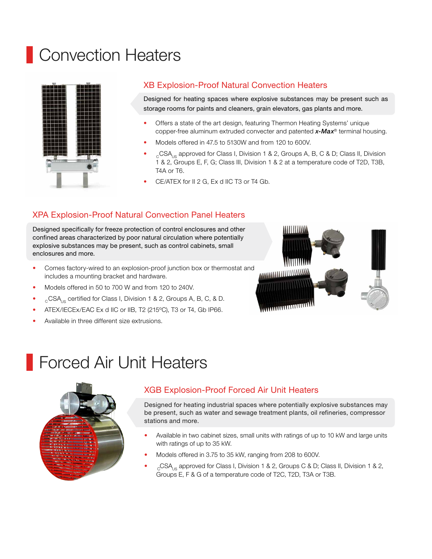## Convection Heaters



#### XB Explosion-Proof Natural Convection Heaters

Designed for heating spaces where explosive substances may be present such as storage rooms for paints and cleaners, grain elevators, gas plants and more.

- Offers a state of the art design, featuring Thermon Heating Systems' unique copper-free aluminum extruded convecter and patented *x-Max*® terminal housing.
- Models offered in 47.5 to 5130W and from 120 to 600V.
- $_{\circ}$  CSA<sub>us</sub> approved for Class I, Division 1 & 2, Groups A, B, C & D; Class II, Division 1 & 2, Groups E, F, G; Class III, Division 1 & 2 at a temperature code of T2D, T3B, T4A or T6.
- CE/ATEX for II 2 G, Ex d IIC T3 or T4 Gb.

### XPA Explosion-Proof Natural Convection Panel Heaters

Designed specifically for freeze protection of control enclosures and other confined areas characterized by poor natural circulation where potentially explosive substances may be present, such as control cabinets, small enclosures and more.

- Comes factory-wired to an explosion-proof junction box or thermostat and includes a mounting bracket and hardware.
- Models offered in 50 to 700 W and from 120 to 240V.
- $_{\circ}$  CSA<sub>us</sub> certified for Class I, Division 1 & 2, Groups A, B, C, & D.
- ATEX/IECEx/EAC Ex d IIC or IIB, T2 (215ºC), T3 or T4, Gb IP66.
- Available in three different size extrusions.



### Forced Air Unit Heaters



### XGB Explosion-Proof Forced Air Unit Heaters

Designed for heating industrial spaces where potentially explosive substances may be present, such as water and sewage treatment plants, oil refineries, compressor stations and more.

- Available in two cabinet sizes, small units with ratings of up to 10 kW and large units with ratings of up to 35 kW.
- Models offered in 3.75 to 35 kW, ranging from 208 to 600V.
- $_{\rm c}$ CSA<sub>us</sub> approved for Class I, Division 1 & 2, Groups C & D; Class II, Division 1 & 2, Groups E, F & G of a temperature code of T2C, T2D, T3A or T3B.